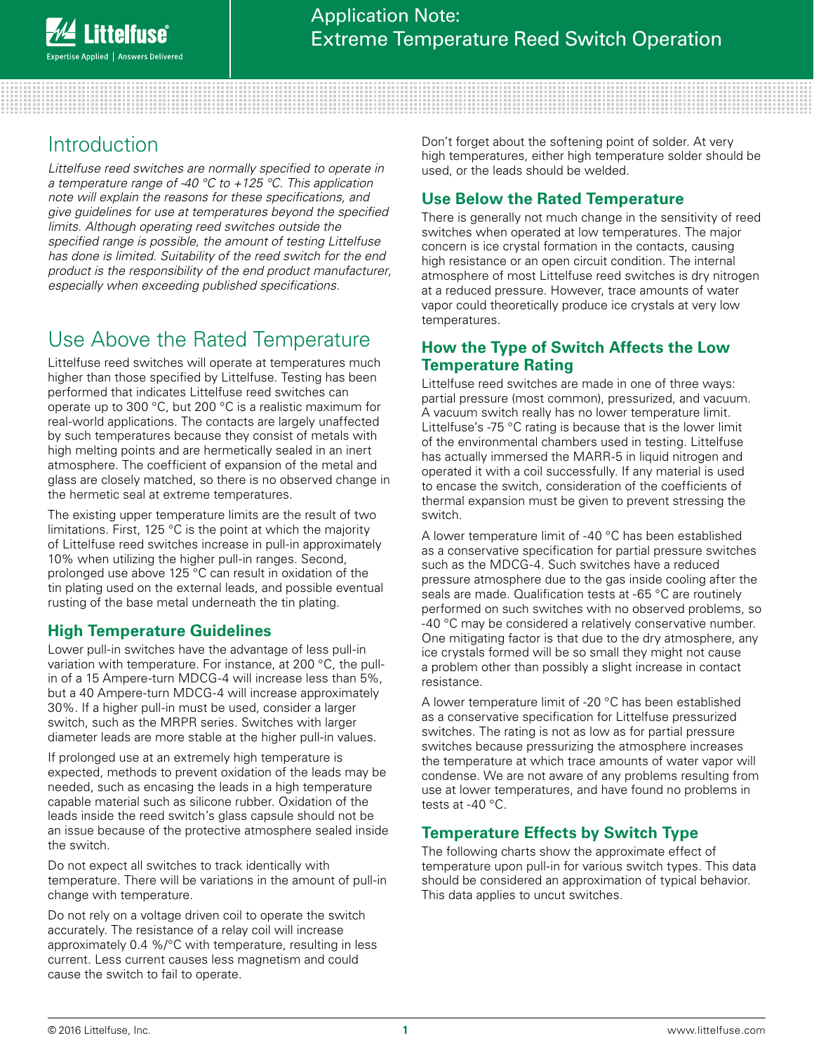# Introduction

*Littelfuse reed switches are normally specified to operate in a temperature range of -40 °C to +125 °C. This application note will explain the reasons for these specifications, and give guidelines for use at temperatures beyond the specified limits. Although operating reed switches outside the specified range is possible, the amount of testing Littelfuse has done is limited. Suitability of the reed switch for the end product is the responsibility of the end product manufacturer, especially when exceeding published specifications.*

# Use Above the Rated Temperature

Littelfuse reed switches will operate at temperatures much higher than those specified by Littelfuse. Testing has been performed that indicates Littelfuse reed switches can operate up to 300 °C, but 200 °C is a realistic maximum for real-world applications. The contacts are largely unaffected by such temperatures because they consist of metals with high melting points and are hermetically sealed in an inert atmosphere. The coefficient of expansion of the metal and glass are closely matched, so there is no observed change in the hermetic seal at extreme temperatures.

The existing upper temperature limits are the result of two limitations. First, 125 °C is the point at which the majority of Littelfuse reed switches increase in pull-in approximately 10% when utilizing the higher pull-in ranges. Second, prolonged use above 125 °C can result in oxidation of the tin plating used on the external leads, and possible eventual rusting of the base metal underneath the tin plating.

## **High Temperature Guidelines**

Lower pull-in switches have the advantage of less pull-in variation with temperature. For instance, at 200 °C, the pullin of a 15 Ampere-turn MDCG-4 will increase less than 5%, but a 40 Ampere-turn MDCG-4 will increase approximately 30%. If a higher pull-in must be used, consider a larger switch, such as the MRPR series. Switches with larger diameter leads are more stable at the higher pull-in values.

If prolonged use at an extremely high temperature is expected, methods to prevent oxidation of the leads may be needed, such as encasing the leads in a high temperature capable material such as silicone rubber. Oxidation of the leads inside the reed switch's glass capsule should not be an issue because of the protective atmosphere sealed inside the switch.

Do not expect all switches to track identically with temperature. There will be variations in the amount of pull-in change with temperature.

Do not rely on a voltage driven coil to operate the switch accurately. The resistance of a relay coil will increase approximately 0.4 %/°C with temperature, resulting in less current. Less current causes less magnetism and could cause the switch to fail to operate.

Don't forget about the softening point of solder. At very high temperatures, either high temperature solder should be used, or the leads should be welded.

## **Use Below the Rated Temperature**

There is generally not much change in the sensitivity of reed switches when operated at low temperatures. The major concern is ice crystal formation in the contacts, causing high resistance or an open circuit condition. The internal atmosphere of most Littelfuse reed switches is dry nitrogen at a reduced pressure. However, trace amounts of water vapor could theoretically produce ice crystals at very low temperatures.

### **How the Type of Switch Affects the Low Temperature Rating**

Littelfuse reed switches are made in one of three ways: partial pressure (most common), pressurized, and vacuum. A vacuum switch really has no lower temperature limit. Littelfuse's -75 °C rating is because that is the lower limit of the environmental chambers used in testing. Littelfuse has actually immersed the MARR-5 in liquid nitrogen and operated it with a coil successfully. If any material is used to encase the switch, consideration of the coefficients of thermal expansion must be given to prevent stressing the switch.

A lower temperature limit of -40 °C has been established as a conservative specification for partial pressure switches such as the MDCG-4. Such switches have a reduced pressure atmosphere due to the gas inside cooling after the seals are made. Qualification tests at -65 °C are routinely performed on such switches with no observed problems, so -40 °C may be considered a relatively conservative number. One mitigating factor is that due to the dry atmosphere, any ice crystals formed will be so small they might not cause a problem other than possibly a slight increase in contact resistance.

A lower temperature limit of -20 °C has been established as a conservative specification for Littelfuse pressurized switches. The rating is not as low as for partial pressure switches because pressurizing the atmosphere increases the temperature at which trace amounts of water vapor will condense. We are not aware of any problems resulting from use at lower temperatures, and have found no problems in tests at -40 °C.

## **Temperature Effects by Switch Type**

The following charts show the approximate effect of temperature upon pull-in for various switch types. This data should be considered an approximation of typical behavior. This data applies to uncut switches.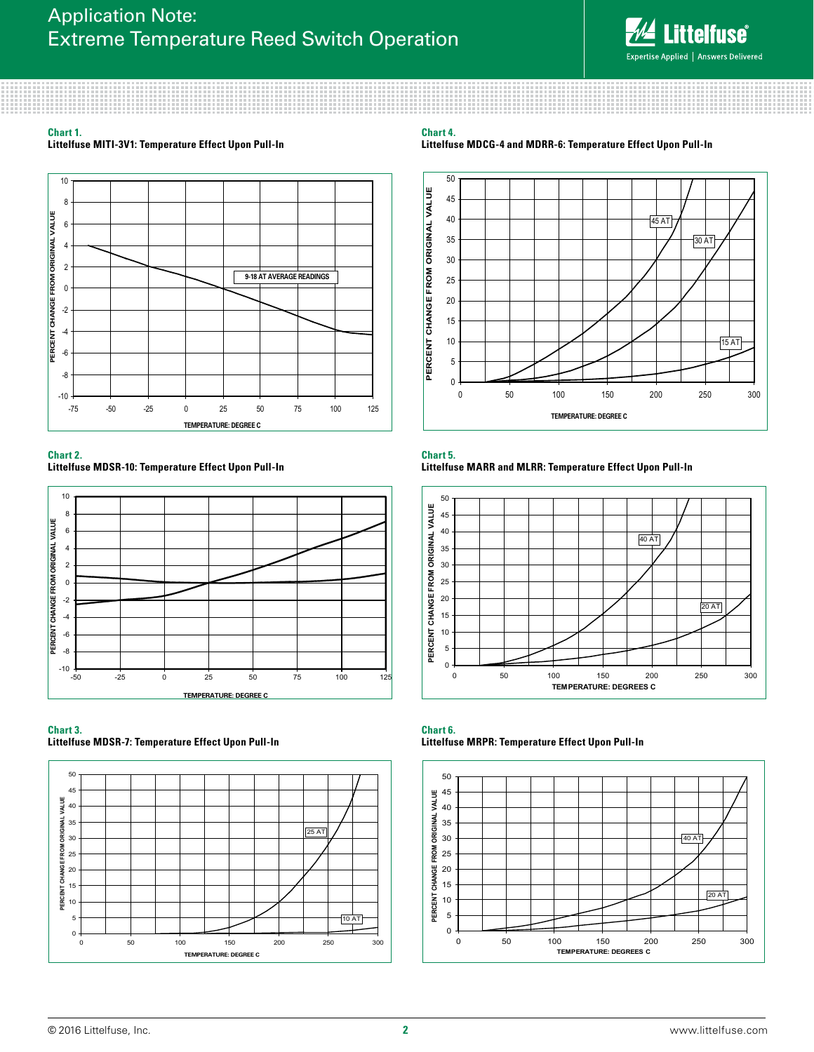

### **Chart 1.**

**Littelfuse MITI-3V1: Temperature Effect Upon Pull-In**



#### **Chart 2.**

**Littelfuse MDSR-10: Temperature Effect Upon Pull-In**



#### **Chart 3.**

**Littelfuse MDSR-7: Temperature Effect Upon Pull-In**



#### **Chart 4.**





#### **Chart 5. Littelfuse MARR and MLRR: Temperature Effect Upon Pull-In**



#### **Chart 6. Littelfuse MRPR: Temperature Effect Upon Pull-In**